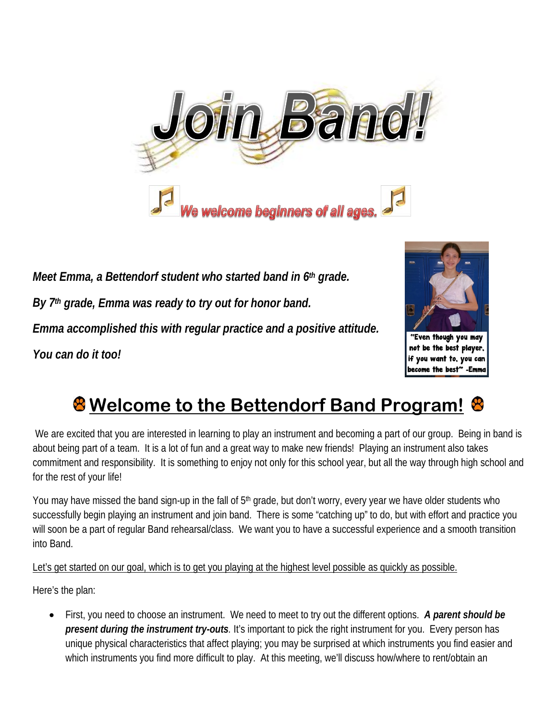

*Meet Emma, a Bettendorf student who started band in 6th grade. By 7th grade, Emma was ready to try out for honor band. Emma accomplished this with regular practice and a positive attitude. You can do it too!*



"Even though you may not be the best player, if you want to, you can become the best" -Emme

## **Welcome to the Bettendorf Band Program!**

We are excited that you are interested in learning to play an instrument and becoming a part of our group. Being in band is about being part of a team. It is a lot of fun and a great way to make new friends! Playing an instrument also takes commitment and responsibility. It is something to enjoy not only for this school year, but all the way through high school and for the rest of your life!

You may have missed the band sign-up in the fall of 5<sup>th</sup> grade, but don't worry, every year we have older students who successfully begin playing an instrument and join band. There is some "catching up" to do, but with effort and practice you will soon be a part of regular Band rehearsal/class. We want you to have a successful experience and a smooth transition into Band.

Let's get started on our goal, which is to get you playing at the highest level possible as quickly as possible.

Here's the plan:

• First, you need to choose an instrument. We need to meet to try out the different options. *A parent should be present during the instrument try-outs.* It's important to pick the right instrument for you. Every person has unique physical characteristics that affect playing; you may be surprised at which instruments you find easier and which instruments you find more difficult to play. At this meeting, we'll discuss how/where to rent/obtain an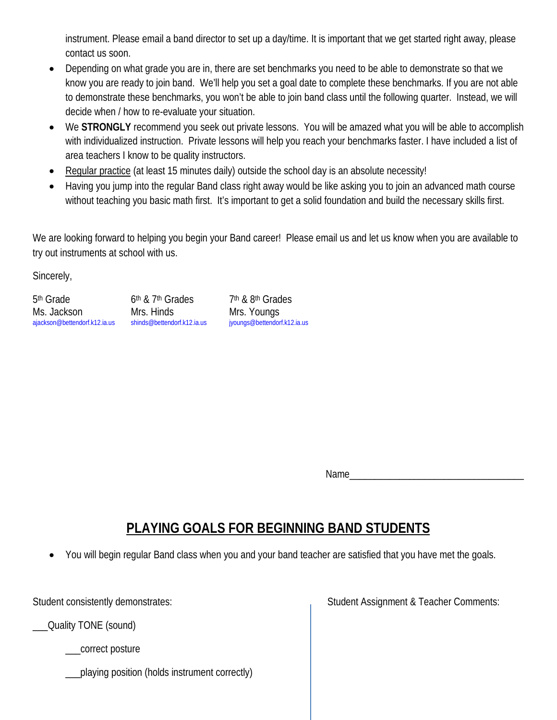instrument. Please email a band director to set up a day/time. It is important that we get started right away, please contact us soon.

- Depending on what grade you are in, there are set benchmarks you need to be able to demonstrate so that we know you are ready to join band. We'll help you set a goal date to complete these benchmarks. If you are not able to demonstrate these benchmarks, you won't be able to join band class until the following quarter. Instead, we will decide when / how to re-evaluate your situation.
- We **STRONGLY** recommend you seek out private lessons. You will be amazed what you will be able to accomplish with individualized instruction. Private lessons will help you reach your benchmarks faster. I have included a list of area teachers I know to be quality instructors.
- Regular practice (at least 15 minutes daily) outside the school day is an absolute necessity!
- Having you jump into the regular Band class right away would be like asking you to join an advanced math course without teaching you basic math first. It's important to get a solid foundation and build the necessary skills first.

We are looking forward to helping you begin your Band career! Please email us and let us know when you are available to try out instruments at school with us.

Sincerely,

5<sup>th</sup> Grade 6th & 7<sup>th</sup> Grades 7th & 8th Grades Ms. Jackson Mrs. Hinds Mrs. Mrs. Noungs<br>
ajackson@bettendorf.k12.ia.us shinds@bettendorf.k12.ia.us jyoungs@bettendorf.k12.ia.us [ajackson@bettendorf.k12.ia.us](mailto:ajackson@bettendorf.k12.ia.us) [shinds@bettendorf.k12.ia.us](mailto:shinds@bettendorf.k12.ia.us)

Name\_\_\_\_\_\_\_\_\_\_\_\_\_\_\_\_\_\_\_\_\_\_\_\_\_\_\_\_\_\_\_\_\_\_\_

## **PLAYING GOALS FOR BEGINNING BAND STUDENTS**

• You will begin regular Band class when you and your band teacher are satisfied that you have met the goals.

\_\_\_Quality TONE (sound)

\_correct posture

\_\_\_playing position (holds instrument correctly)

Student consistently demonstrates: Student Assignment & Teacher Comments: